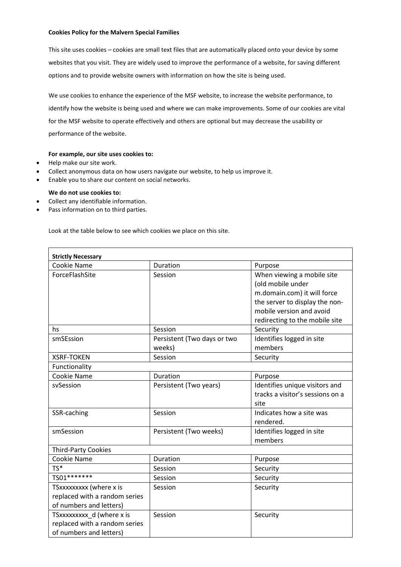# **Cookies Policy for the Malvern Special Families**

This site uses cookies – cookies are small text files that are automatically placed onto your device by some websites that you visit. They are widely used to improve the performance of a website, for saving different options and to provide website owners with information on how the site is being used.

We use cookies to enhance the experience of the MSF website, to increase the website performance, to identify how the website is being used and where we can make improvements. Some of our cookies are vital for the MSF website to operate effectively and others are optional but may decrease the usability or performance of the website.

## **For example, our site uses cookies to:**

- Help make our site work.
- Collect anonymous data on how users navigate our website, to help us improve it.
- Enable you to share our content on social networks.

## **We do not use cookies to:**

- Collect any identifiable information.
- Pass information on to third parties.

Look at the table below to see which cookies we place on this site.

| <b>Strictly Necessary</b>                                                             |                                       |                                                                                                                                                                                |
|---------------------------------------------------------------------------------------|---------------------------------------|--------------------------------------------------------------------------------------------------------------------------------------------------------------------------------|
| Cookie Name                                                                           | Duration                              | Purpose                                                                                                                                                                        |
| ForceFlashSite                                                                        | Session                               | When viewing a mobile site<br>(old mobile under<br>m.domain.com) it will force<br>the server to display the non-<br>mobile version and avoid<br>redirecting to the mobile site |
| hs                                                                                    | Session                               | Security                                                                                                                                                                       |
| smSEssion                                                                             | Persistent (Two days or two<br>weeks) | Identifies logged in site<br>members                                                                                                                                           |
| <b>XSRF-TOKEN</b>                                                                     | Session                               | Security                                                                                                                                                                       |
| Functionality                                                                         |                                       |                                                                                                                                                                                |
| Cookie Name                                                                           | Duration                              | Purpose                                                                                                                                                                        |
| svSession                                                                             | Persistent (Two years)                | Identifies unique visitors and<br>tracks a visitor's sessions on a<br>site                                                                                                     |
| SSR-caching                                                                           | Session                               | Indicates how a site was<br>rendered.                                                                                                                                          |
| smSession                                                                             | Persistent (Two weeks)                | Identifies logged in site<br>members                                                                                                                                           |
| <b>Third-Party Cookies</b>                                                            |                                       |                                                                                                                                                                                |
| Cookie Name                                                                           | Duration                              | Purpose                                                                                                                                                                        |
| $TS*$                                                                                 | Session                               | Security                                                                                                                                                                       |
| TS01 *******                                                                          | Session                               | Security                                                                                                                                                                       |
| TSxxxxxxxx (where x is<br>replaced with a random series<br>of numbers and letters)    | Session                               | Security                                                                                                                                                                       |
| TSxxxxxxxxx d (where x is<br>replaced with a random series<br>of numbers and letters) | Session                               | Security                                                                                                                                                                       |